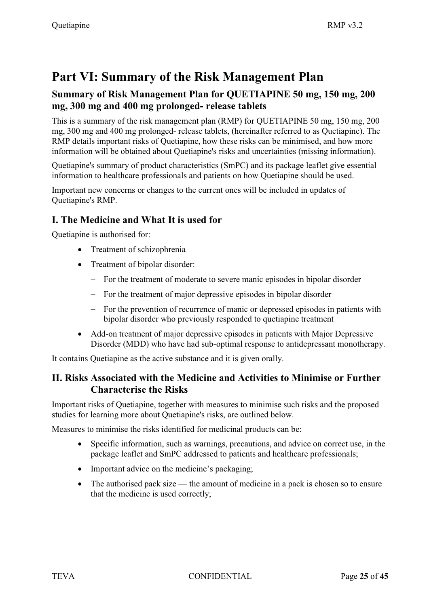# **Part VI: Summary of the Risk Management Plan**

## **Summary of Risk Management Plan for QUETIAPINE 50 mg, 150 mg, 200 mg, 300 mg and 400 mg prolonged- release tablets**

This is a summary of the risk management plan (RMP) for QUETIAPINE 50 mg, 150 mg, 200 mg, 300 mg and 400 mg prolonged- release tablets, (hereinafter referred to as Quetiapine). The RMP details important risks of Quetiapine, how these risks can be minimised, and how more information will be obtained about Quetiapine's risks and uncertainties (missing information).

Quetiapine's summary of product characteristics (SmPC) and its package leaflet give essential information to healthcare professionals and patients on how Quetiapine should be used.

Important new concerns or changes to the current ones will be included in updates of Quetiapine's RMP.

## **I. The Medicine and What It is used for**

Quetiapine is authorised for:

- Treatment of schizophrenia
- Treatment of bipolar disorder:
	- For the treatment of moderate to severe manic episodes in bipolar disorder
	- For the treatment of major depressive episodes in bipolar disorder
	- For the prevention of recurrence of manic or depressed episodes in patients with bipolar disorder who previously responded to quetiapine treatment
- Add-on treatment of major depressive episodes in patients with Major Depressive Disorder (MDD) who have had sub-optimal response to antidepressant monotherapy.

It contains Quetiapine as the active substance and it is given orally.

## **II. Risks Associated with the Medicine and Activities to Minimise or Further Characterise the Risks**

Important risks of Quetiapine, together with measures to minimise such risks and the proposed studies for learning more about Quetiapine's risks, are outlined below.

Measures to minimise the risks identified for medicinal products can be:

- $\bullet$  Specific information, such as warnings, precautions, and advice on correct use, in the package leaflet and SmPC addressed to patients and healthcare professionals;
- Important advice on the medicine's packaging;
- $\bullet$  The authorised pack size — the amount of medicine in a pack is chosen so to ensure that the medicine is used correctly;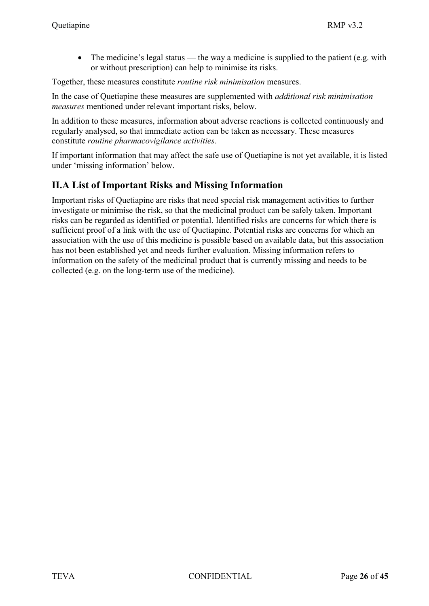$\bullet$  The medicine's legal status — the way a medicine is supplied to the patient (e.g. with or without prescription) can help to minimise its risks.

Together, these measures constitute *routine risk minimisation* measures.

In the case of Quetiapine these measures are supplemented with *additional risk minimisation measures* mentioned under relevant important risks, below.

In addition to these measures, information about adverse reactions is collected continuously and regularly analysed, so that immediate action can be taken as necessary. These measures constitute *routine pharmacovigilance activities*.

If important information that may affect the safe use of Quetiapine is not yet available, it is listed under 'missing information' below.

## **II.A List of Important Risks and Missing Information**

Important risks of Quetiapine are risks that need special risk management activities to further investigate or minimise the risk, so that the medicinal product can be safely taken. Important risks can be regarded as identified or potential. Identified risks are concerns for which there is sufficient proof of a link with the use of Quetiapine. Potential risks are concerns for which an association with the use of this medicine is possible based on available data, but this association has not been established yet and needs further evaluation. Missing information refers to information on the safety of the medicinal product that is currently missing and needs to be collected (e.g. on the long-term use of the medicine).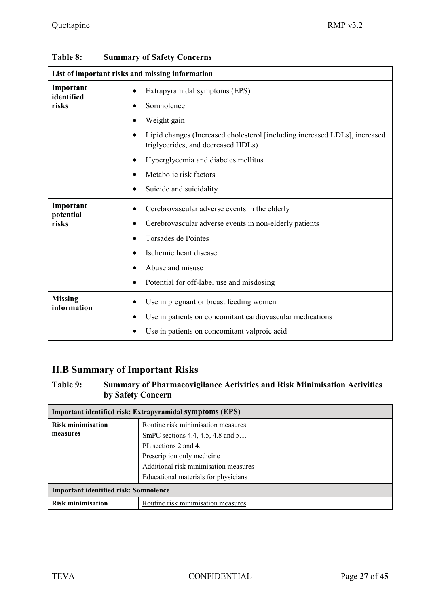| List of important risks and missing information |                                                                                                                  |  |
|-------------------------------------------------|------------------------------------------------------------------------------------------------------------------|--|
| Important<br>identified                         | Extrapyramidal symptoms (EPS)<br>$\bullet$                                                                       |  |
| risks                                           | Somnolence                                                                                                       |  |
|                                                 | Weight gain                                                                                                      |  |
|                                                 | Lipid changes (Increased cholesterol [including increased LDLs], increased<br>triglycerides, and decreased HDLs) |  |
|                                                 | Hyperglycemia and diabetes mellitus                                                                              |  |
|                                                 | Metabolic risk factors                                                                                           |  |
|                                                 | Suicide and suicidality                                                                                          |  |
| Important                                       | Cerebrovascular adverse events in the elderly                                                                    |  |
| potential<br>risks                              | Cerebrovascular adverse events in non-elderly patients                                                           |  |
|                                                 | <b>Torsades de Pointes</b>                                                                                       |  |
|                                                 | Ischemic heart disease                                                                                           |  |
|                                                 | Abuse and misuse                                                                                                 |  |
|                                                 | Potential for off-label use and misdosing                                                                        |  |
| <b>Missing</b>                                  | Use in pregnant or breast feeding women                                                                          |  |
| information                                     | Use in patients on concomitant cardiovascular medications                                                        |  |
|                                                 | Use in patients on concomitant valproic acid                                                                     |  |

| <b>Table 8:</b> | <b>Summary of Safety Concerns</b> |  |  |
|-----------------|-----------------------------------|--|--|
|-----------------|-----------------------------------|--|--|

## **II.B Summary of Important Risks**

### **Table 9: Summary of Pharmacovigilance Activities and Risk Minimisation Activities by Safety Concern**

| Important identified risk: Extrapyramidal symptoms (EPS) |                                       |  |  |  |
|----------------------------------------------------------|---------------------------------------|--|--|--|
| <b>Risk minimisation</b>                                 | Routine risk minimisation measures    |  |  |  |
| measures                                                 | SmPC sections 4.4, 4.5, 4.8 and 5.1.  |  |  |  |
|                                                          | PL sections 2 and 4.                  |  |  |  |
|                                                          | Prescription only medicine            |  |  |  |
|                                                          | Additional risk minimisation measures |  |  |  |
|                                                          | Educational materials for physicians  |  |  |  |
| <b>Important identified risk: Somnolence</b>             |                                       |  |  |  |
| <b>Risk minimisation</b>                                 | Routine risk minimisation measures    |  |  |  |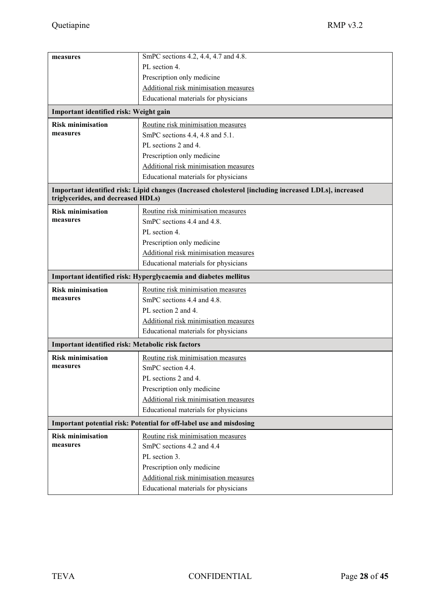| measures                                                                                                                                    | SmPC sections 4.2, 4.4, 4.7 and 4.8.                            |  |  |  |
|---------------------------------------------------------------------------------------------------------------------------------------------|-----------------------------------------------------------------|--|--|--|
|                                                                                                                                             | PL section 4.                                                   |  |  |  |
|                                                                                                                                             | Prescription only medicine                                      |  |  |  |
|                                                                                                                                             | Additional risk minimisation measures                           |  |  |  |
|                                                                                                                                             | Educational materials for physicians                            |  |  |  |
| Important identified risk: Weight gain                                                                                                      |                                                                 |  |  |  |
| <b>Risk minimisation</b>                                                                                                                    | Routine risk minimisation measures                              |  |  |  |
| measures                                                                                                                                    | SmPC sections 4.4, 4.8 and 5.1.                                 |  |  |  |
|                                                                                                                                             | PL sections 2 and 4.                                            |  |  |  |
|                                                                                                                                             | Prescription only medicine                                      |  |  |  |
|                                                                                                                                             | Additional risk minimisation measures                           |  |  |  |
|                                                                                                                                             | Educational materials for physicians                            |  |  |  |
| Important identified risk: Lipid changes (Increased cholesterol [including increased LDLs], increased<br>triglycerides, and decreased HDLs) |                                                                 |  |  |  |
|                                                                                                                                             |                                                                 |  |  |  |
| <b>Risk minimisation</b><br>measures                                                                                                        | Routine risk minimisation measures                              |  |  |  |
|                                                                                                                                             | SmPC sections 4.4 and 4.8.                                      |  |  |  |
|                                                                                                                                             | PL section 4.                                                   |  |  |  |
|                                                                                                                                             | Prescription only medicine                                      |  |  |  |
|                                                                                                                                             | Additional risk minimisation measures                           |  |  |  |
|                                                                                                                                             | Educational materials for physicians                            |  |  |  |
|                                                                                                                                             | Important identified risk: Hyperglycaemia and diabetes mellitus |  |  |  |
| <b>Risk minimisation</b>                                                                                                                    | Routine risk minimisation measures                              |  |  |  |
| measures                                                                                                                                    | SmPC sections 4.4 and 4.8.                                      |  |  |  |
|                                                                                                                                             | PL section 2 and 4.                                             |  |  |  |
|                                                                                                                                             | Additional risk minimisation measures                           |  |  |  |
|                                                                                                                                             | Educational materials for physicians                            |  |  |  |
| Important identified risk: Metabolic risk factors                                                                                           |                                                                 |  |  |  |
| <b>Risk minimisation</b>                                                                                                                    | Routine risk minimisation measures                              |  |  |  |
| measures                                                                                                                                    | SmPC section 4.4.                                               |  |  |  |
|                                                                                                                                             | PL sections 2 and 4.                                            |  |  |  |
|                                                                                                                                             | Prescription only medicine                                      |  |  |  |
|                                                                                                                                             | Additional risk minimisation measures                           |  |  |  |
|                                                                                                                                             | Educational materials for physicians                            |  |  |  |
| Important potential risk: Potential for off-label use and misdosing                                                                         |                                                                 |  |  |  |
| <b>Risk minimisation</b>                                                                                                                    | Routine risk minimisation measures                              |  |  |  |
| measures                                                                                                                                    | SmPC sections 4.2 and 4.4                                       |  |  |  |
|                                                                                                                                             | PL section 3.                                                   |  |  |  |
|                                                                                                                                             | Prescription only medicine                                      |  |  |  |
|                                                                                                                                             | Additional risk minimisation measures                           |  |  |  |
|                                                                                                                                             | Educational materials for physicians                            |  |  |  |